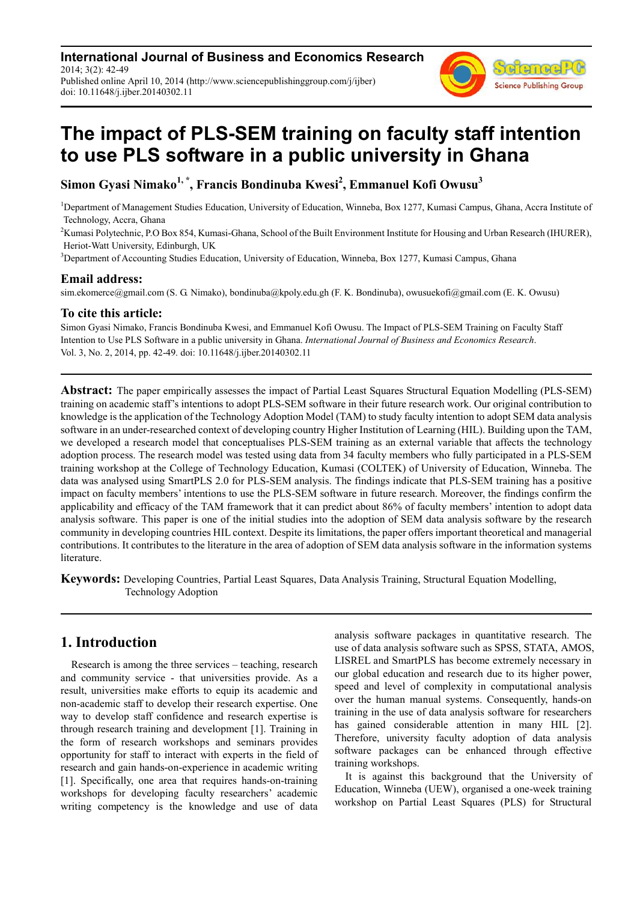**International Journal of Business and Economics Research** 2014; 3(2): 42-49 Published online April 10, 2014 (http://www.sciencepublishinggroup.com/j/ijber) doi: 10.11648/j.ijber.20140302.11



# **The impact of PLS-SEM training on faculty staff intention to use PLS software in a public university in Ghana**

**Simon Gyasi Nimako1, \*, Francis Bondinuba Kwesi<sup>2</sup> , Emmanuel Kofi Owusu<sup>3</sup>**

<sup>1</sup>Department of Management Studies Education, University of Education, Winneba, Box 1277, Kumasi Campus, Ghana, Accra Institute of Technology, Accra, Ghana

<sup>2</sup>Kumasi Polytechnic, P.O Box 854, Kumasi-Ghana, School of the Built Environment Institute for Housing and Urban Research (IHURER), Heriot-Watt University, Edinburgh, UK

<sup>3</sup>Department of Accounting Studies Education, University of Education, Winneba, Box 1277, Kumasi Campus, Ghana

#### **Email address:**

sim.ekomerce@gmail.com (S. G. Nimako), bondinuba@kpoly.edu.gh (F. K. Bondinuba), owusuekofi@gmail.com (E. K. Owusu)

### **To cite this article:**

Simon Gyasi Nimako, Francis Bondinuba Kwesi, and Emmanuel Kofi Owusu. The Impact of PLS-SEM Training on Faculty Staff Intention to Use PLS Software in a public university in Ghana. *International Journal of Business and Economics Research*. Vol. 3, No. 2, 2014, pp. 42-49. doi: 10.11648/j.ijber.20140302.11

**Abstract:** The paper empirically assesses the impact of Partial Least Squares Structural Equation Modelling (PLS-SEM) training on academic staff's intentions to adopt PLS-SEM software in their future research work. Our original contribution to knowledge is the application of the Technology Adoption Model (TAM) to study faculty intention to adopt SEM data analysis software in an under-researched context of developing country Higher Institution of Learning (HIL). Building upon the TAM, we developed a research model that conceptualises PLS-SEM training as an external variable that affects the technology adoption process. The research model was tested using data from 34 faculty members who fully participated in a PLS-SEM training workshop at the College of Technology Education, Kumasi (COLTEK) of University of Education, Winneba. The data was analysed using SmartPLS 2.0 for PLS-SEM analysis. The findings indicate that PLS-SEM training has a positive impact on faculty members' intentions to use the PLS-SEM software in future research. Moreover, the findings confirm the applicability and efficacy of the TAM framework that it can predict about 86% of faculty members' intention to adopt data analysis software. This paper is one of the initial studies into the adoption of SEM data analysis software by the research community in developing countries HIL context. Despite its limitations, the paper offers important theoretical and managerial contributions. It contributes to the literature in the area of adoption of SEM data analysis software in the information systems literature.

**Keywords:** Developing Countries, Partial Least Squares, Data Analysis Training, Structural Equation Modelling, Technology Adoption

## **1. Introduction**

Research is among the three services – teaching, research and community service - that universities provide. As a result, universities make efforts to equip its academic and non-academic staff to develop their research expertise. One way to develop staff confidence and research expertise is through research training and development [1]. Training in the form of research workshops and seminars provides opportunity for staff to interact with experts in the field of research and gain hands-on-experience in academic writing [1]. Specifically, one area that requires hands-on-training workshops for developing faculty researchers' academic writing competency is the knowledge and use of data

analysis software packages in quantitative research. The use of data analysis software such as SPSS, STATA, AMOS, LISREL and SmartPLS has become extremely necessary in our global education and research due to its higher power, speed and level of complexity in computational analysis over the human manual systems. Consequently, hands-on training in the use of data analysis software for researchers has gained considerable attention in many HIL [2]. Therefore, university faculty adoption of data analysis software packages can be enhanced through effective training workshops.

It is against this background that the University of Education, Winneba (UEW), organised a one-week training workshop on Partial Least Squares (PLS) for Structural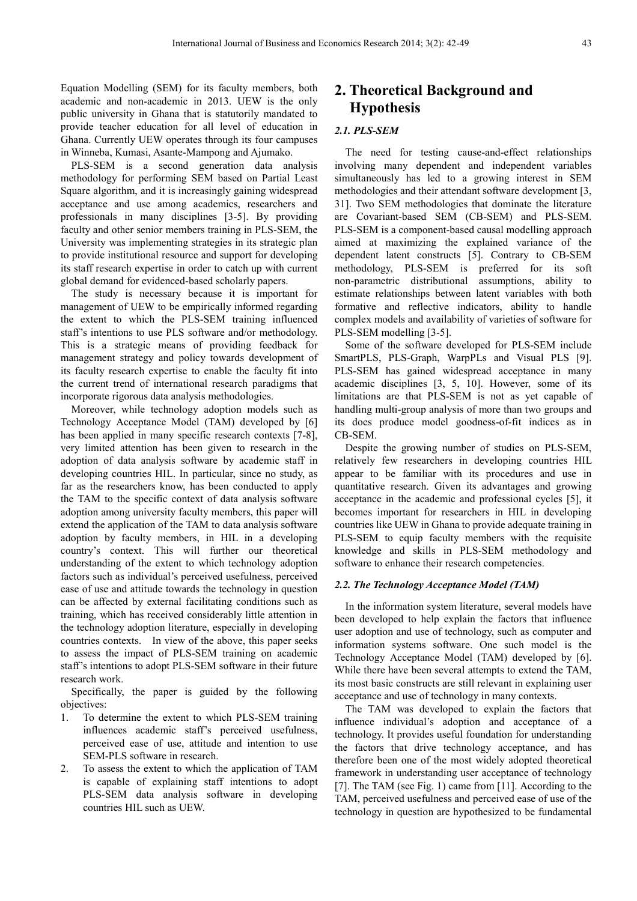Equation Modelling (SEM) for its faculty members, both academic and non-academic in 2013. UEW is the only public university in Ghana that is statutorily mandated to provide teacher education for all level of education in Ghana. Currently UEW operates through its four campuses in Winneba, Kumasi, Asante-Mampong and Ajumako.

PLS-SEM is a second generation data analysis methodology for performing SEM based on Partial Least Square algorithm, and it is increasingly gaining widespread acceptance and use among academics, researchers and professionals in many disciplines [3-5]. By providing faculty and other senior members training in PLS-SEM, the University was implementing strategies in its strategic plan to provide institutional resource and support for developing its staff research expertise in order to catch up with current global demand for evidenced-based scholarly papers.

The study is necessary because it is important for management of UEW to be empirically informed regarding the extent to which the PLS-SEM training influenced staff's intentions to use PLS software and/or methodology. This is a strategic means of providing feedback for management strategy and policy towards development of its faculty research expertise to enable the faculty fit into the current trend of international research paradigms that incorporate rigorous data analysis methodologies.

Moreover, while technology adoption models such as Technology Acceptance Model (TAM) developed by [6] has been applied in many specific research contexts [7-8], very limited attention has been given to research in the adoption of data analysis software by academic staff in developing countries HIL. In particular, since no study, as far as the researchers know, has been conducted to apply the TAM to the specific context of data analysis software adoption among university faculty members, this paper will extend the application of the TAM to data analysis software adoption by faculty members, in HIL in a developing country's context. This will further our theoretical understanding of the extent to which technology adoption factors such as individual's perceived usefulness, perceived ease of use and attitude towards the technology in question can be affected by external facilitating conditions such as training, which has received considerably little attention in the technology adoption literature, especially in developing countries contexts. In view of the above, this paper seeks to assess the impact of PLS-SEM training on academic staff's intentions to adopt PLS-SEM software in their future research work.

Specifically, the paper is guided by the following objectives:

- 1. To determine the extent to which PLS-SEM training influences academic staff's perceived usefulness, perceived ease of use, attitude and intention to use SEM-PLS software in research.
- 2. To assess the extent to which the application of TAM is capable of explaining staff intentions to adopt PLS-SEM data analysis software in developing countries HIL such as UEW.

# **2. Theoretical Background and Hypothesis**

#### *2.1. PLS-SEM*

The need for testing cause-and-effect relationships involving many dependent and independent variables simultaneously has led to a growing interest in SEM methodologies and their attendant software development [3, 31]. Two SEM methodologies that dominate the literature are Covariant-based SEM (CB-SEM) and PLS-SEM. PLS-SEM is a component-based causal modelling approach aimed at maximizing the explained variance of the dependent latent constructs [5]. Contrary to CB-SEM methodology, PLS-SEM is preferred for its soft non-parametric distributional assumptions, ability to estimate relationships between latent variables with both formative and reflective indicators, ability to handle complex models and availability of varieties of software for PLS-SEM modelling [3-5].

Some of the software developed for PLS-SEM include SmartPLS, PLS-Graph, WarpPLs and Visual PLS [9]. PLS-SEM has gained widespread acceptance in many academic disciplines [3, 5, 10]. However, some of its limitations are that PLS-SEM is not as yet capable of handling multi-group analysis of more than two groups and its does produce model goodness-of-fit indices as in CB-SEM.

Despite the growing number of studies on PLS-SEM, relatively few researchers in developing countries HIL appear to be familiar with its procedures and use in quantitative research. Given its advantages and growing acceptance in the academic and professional cycles [5], it becomes important for researchers in HIL in developing countries like UEW in Ghana to provide adequate training in PLS-SEM to equip faculty members with the requisite knowledge and skills in PLS-SEM methodology and software to enhance their research competencies.

#### *2.2. The Technology Acceptance Model (TAM)*

In the information system literature, several models have been developed to help explain the factors that influence user adoption and use of technology, such as computer and information systems software. One such model is the Technology Acceptance Model (TAM) developed by [6]. While there have been several attempts to extend the TAM, its most basic constructs are still relevant in explaining user acceptance and use of technology in many contexts.

The TAM was developed to explain the factors that influence individual's adoption and acceptance of a technology. It provides useful foundation for understanding the factors that drive technology acceptance, and has therefore been one of the most widely adopted theoretical framework in understanding user acceptance of technology [7]. The TAM (see Fig. 1) came from [11]. According to the TAM, perceived usefulness and perceived ease of use of the technology in question are hypothesized to be fundamental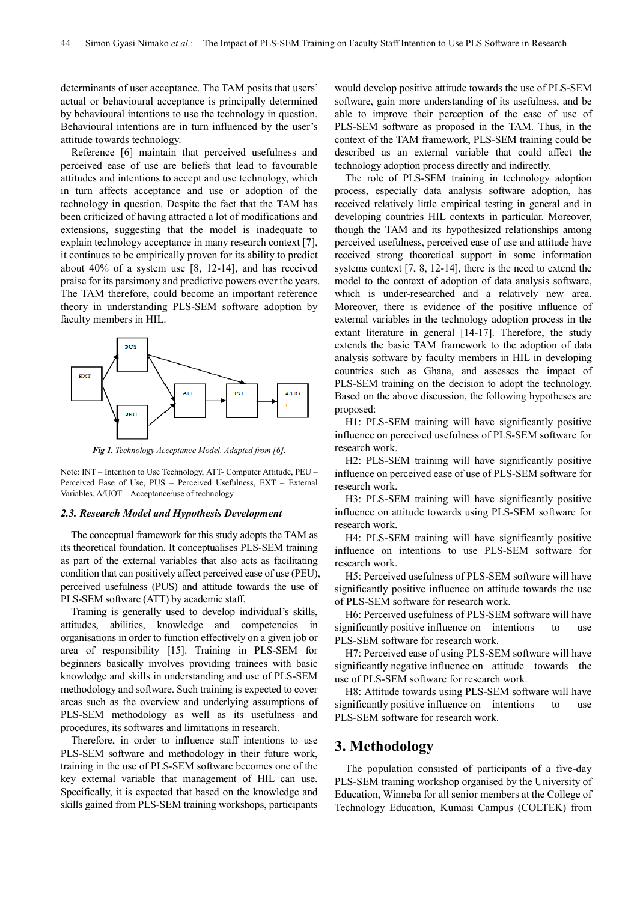determinants of user acceptance. The TAM posits that users' actual or behavioural acceptance is principally determined by behavioural intentions to use the technology in question. Behavioural intentions are in turn influenced by the user's attitude towards technology.

Reference [6] maintain that perceived usefulness and perceived ease of use are beliefs that lead to favourable attitudes and intentions to accept and use technology, which in turn affects acceptance and use or adoption of the technology in question. Despite the fact that the TAM has been criticized of having attracted a lot of modifications and extensions, suggesting that the model is inadequate to explain technology acceptance in many research context [7], it continues to be empirically proven for its ability to predict about 40% of a system use [8, 12-14], and has received praise for its parsimony and predictive powers over the years. The TAM therefore, could become an important reference theory in understanding PLS-SEM software adoption by faculty members in HIL.



*Fig 1. Technology Acceptance Model. Adapted from [6].* 

Note: INT – Intention to Use Technology, ATT- Computer Attitude, PEU – Perceived Ease of Use, PUS – Perceived Usefulness, EXT – External Variables, A/UOT – Acceptance/use of technology

#### *2.3. Research Model and Hypothesis Development*

The conceptual framework for this study adopts the TAM as its theoretical foundation. It conceptualises PLS-SEM training as part of the external variables that also acts as facilitating condition that can positively affect perceived ease of use (PEU), perceived usefulness (PUS) and attitude towards the use of PLS-SEM software (ATT) by academic staff.

Training is generally used to develop individual's skills, attitudes, abilities, knowledge and competencies in organisations in order to function effectively on a given job or area of responsibility [15]. Training in PLS-SEM for beginners basically involves providing trainees with basic knowledge and skills in understanding and use of PLS-SEM methodology and software. Such training is expected to cover areas such as the overview and underlying assumptions of PLS-SEM methodology as well as its usefulness and procedures, its softwares and limitations in research.

Therefore, in order to influence staff intentions to use PLS-SEM software and methodology in their future work, training in the use of PLS-SEM software becomes one of the key external variable that management of HIL can use. Specifically, it is expected that based on the knowledge and skills gained from PLS-SEM training workshops, participants

would develop positive attitude towards the use of PLS-SEM software, gain more understanding of its usefulness, and be able to improve their perception of the ease of use of PLS-SEM software as proposed in the TAM. Thus, in the context of the TAM framework, PLS-SEM training could be described as an external variable that could affect the technology adoption process directly and indirectly.

The role of PLS-SEM training in technology adoption process, especially data analysis software adoption, has received relatively little empirical testing in general and in developing countries HIL contexts in particular. Moreover, though the TAM and its hypothesized relationships among perceived usefulness, perceived ease of use and attitude have received strong theoretical support in some information systems context [7, 8, 12-14], there is the need to extend the model to the context of adoption of data analysis software, which is under-researched and a relatively new area. Moreover, there is evidence of the positive influence of external variables in the technology adoption process in the extant literature in general [14-17]. Therefore, the study extends the basic TAM framework to the adoption of data analysis software by faculty members in HIL in developing countries such as Ghana, and assesses the impact of PLS-SEM training on the decision to adopt the technology. Based on the above discussion, the following hypotheses are proposed:

H1: PLS-SEM training will have significantly positive influence on perceived usefulness of PLS-SEM software for research work.

H2: PLS-SEM training will have significantly positive influence on perceived ease of use of PLS-SEM software for research work.

H3: PLS-SEM training will have significantly positive influence on attitude towards using PLS-SEM software for research work.

H4: PLS-SEM training will have significantly positive influence on intentions to use PLS-SEM software for research work.

H5: Perceived usefulness of PLS-SEM software will have significantly positive influence on attitude towards the use of PLS-SEM software for research work.

H6: Perceived usefulness of PLS-SEM software will have significantly positive influence on intentions to use PLS-SEM software for research work.

H7: Perceived ease of using PLS-SEM software will have significantly negative influence on attitude towards the use of PLS-SEM software for research work.

H8: Attitude towards using PLS-SEM software will have significantly positive influence on intentions to use PLS-SEM software for research work.

### **3. Methodology**

The population consisted of participants of a five-day PLS-SEM training workshop organised by the University of Education, Winneba for all senior members at the College of Technology Education, Kumasi Campus (COLTEK) from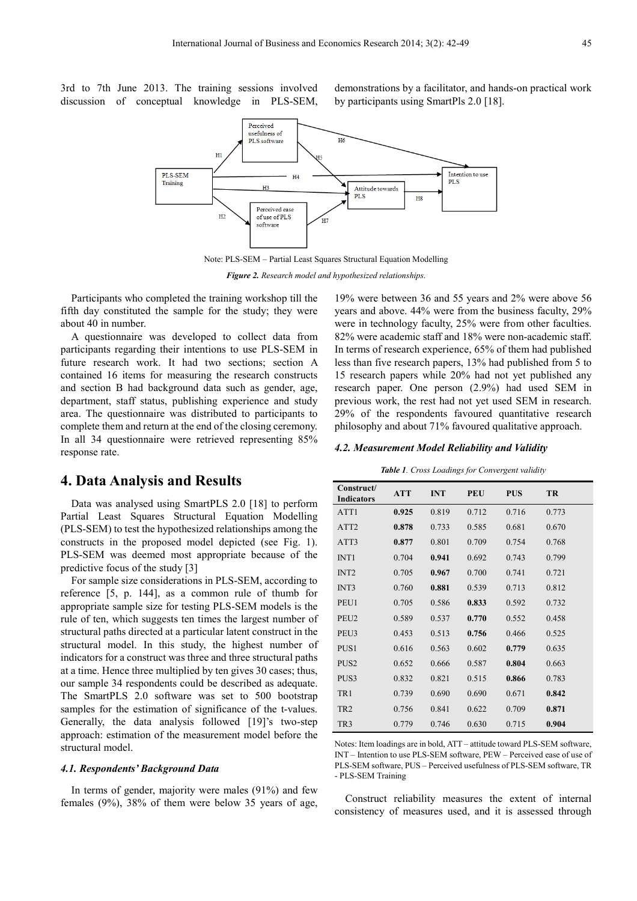3rd to 7th June 2013. The training sessions involved discussion of conceptual knowledge in PLS-SEM,

demonstrations by a facilitator, and hands-on practical work by participants using SmartPls 2.0 [18].



Note: PLS-SEM – Partial Least Squares Structural Equation Modelling

*Figure 2. Research model and hypothesized relationships.* 

Participants who completed the training workshop till the fifth day constituted the sample for the study; they were about 40 in number.

A questionnaire was developed to collect data from participants regarding their intentions to use PLS-SEM in future research work. It had two sections; section A contained 16 items for measuring the research constructs and section B had background data such as gender, age, department, staff status, publishing experience and study area. The questionnaire was distributed to participants to complete them and return at the end of the closing ceremony. In all 34 questionnaire were retrieved representing 85% response rate.

## **4. Data Analysis and Results**

Data was analysed using SmartPLS 2.0 [18] to perform Partial Least Squares Structural Equation Modelling (PLS-SEM) to test the hypothesized relationships among the constructs in the proposed model depicted (see Fig. 1). PLS-SEM was deemed most appropriate because of the predictive focus of the study [3]

For sample size considerations in PLS-SEM, according to reference [5, p. 144], as a common rule of thumb for appropriate sample size for testing PLS-SEM models is the rule of ten, which suggests ten times the largest number of structural paths directed at a particular latent construct in the structural model. In this study, the highest number of indicators for a construct was three and three structural paths at a time. Hence three multiplied by ten gives 30 cases; thus, our sample 34 respondents could be described as adequate. The SmartPLS 2.0 software was set to 500 bootstrap samples for the estimation of significance of the t-values. Generally, the data analysis followed [19]'s two-step approach: estimation of the measurement model before the structural model.

#### *4.1. Respondents' Background Data*

In terms of gender, majority were males (91%) and few females (9%), 38% of them were below 35 years of age,

19% were between 36 and 55 years and 2% were above 56 years and above. 44% were from the business faculty, 29% were in technology faculty, 25% were from other faculties. 82% were academic staff and 18% were non-academic staff. In terms of research experience, 65% of them had published less than five research papers, 13% had published from 5 to 15 research papers while 20% had not yet published any research paper. One person (2.9%) had used SEM in previous work, the rest had not yet used SEM in research. 29% of the respondents favoured quantitative research philosophy and about 71% favoured qualitative approach.

#### *4.2. Measurement Model Reliability and Validity*

*Table 1. Cross Loadings for Convergent validity* 

| Construct/<br><b>Indicators</b> | <b>ATT</b> | <b>INT</b> | <b>PEU</b> | <b>PUS</b> | TR    |
|---------------------------------|------------|------------|------------|------------|-------|
| ATT1                            | 0.925      | 0.819      | 0.712      | 0.716      | 0.773 |
| ATT <sub>2</sub>                | 0.878      | 0.733      | 0.585      | 0.681      | 0.670 |
| ATT3                            | 0.877      | 0.801      | 0.709      | 0.754      | 0.768 |
| INT <sub>1</sub>                | 0.704      | 0.941      | 0.692      | 0.743      | 0.799 |
| INT <sub>2</sub>                | 0.705      | 0.967      | 0.700      | 0.741      | 0.721 |
| INT3                            | 0.760      | 0.881      | 0.539      | 0.713      | 0.812 |
| PEU1                            | 0.705      | 0.586      | 0.833      | 0.592      | 0.732 |
| PEU <sub>2</sub>                | 0.589      | 0.537      | 0.770      | 0.552      | 0.458 |
| PEU <sub>3</sub>                | 0.453      | 0.513      | 0.756      | 0.466      | 0.525 |
| PUS <sub>1</sub>                | 0.616      | 0.563      | 0.602      | 0.779      | 0.635 |
| PUS <sub>2</sub>                | 0.652      | 0.666      | 0.587      | 0.804      | 0.663 |
| PUS3                            | 0.832      | 0.821      | 0.515      | 0.866      | 0.783 |
| TR1                             | 0.739      | 0.690      | 0.690      | 0.671      | 0.842 |
| TR <sub>2</sub>                 | 0.756      | 0.841      | 0.622      | 0.709      | 0.871 |
| TR <sub>3</sub>                 | 0.779      | 0.746      | 0.630      | 0.715      | 0.904 |

Notes: Item loadings are in bold, ATT – attitude toward PLS-SEM software, INT – Intention to use PLS-SEM software, PEW – Perceived ease of use of PLS-SEM software, PUS – Perceived usefulness of PLS-SEM software, TR - PLS-SEM Training

Construct reliability measures the extent of internal consistency of measures used, and it is assessed through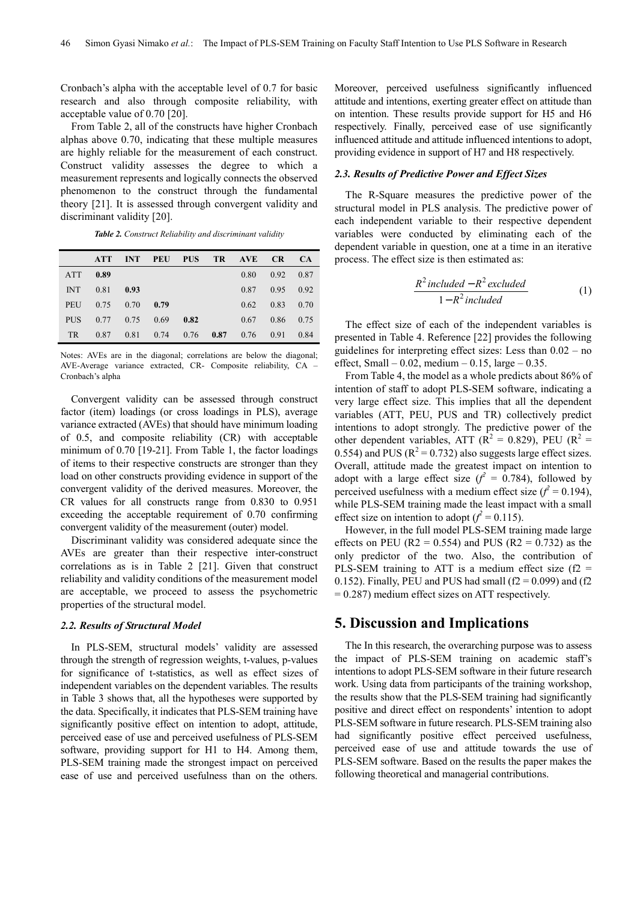Cronbach's alpha with the acceptable level of 0.7 for basic research and also through composite reliability, with acceptable value of 0.70 [20].

From Table 2, all of the constructs have higher Cronbach alphas above 0.70, indicating that these multiple measures are highly reliable for the measurement of each construct. Construct validity assesses the degree to which a measurement represents and logically connects the observed phenomenon to the construct through the fundamental theory [21]. It is assessed through convergent validity and discriminant validity [20].

|            | <b>ATT</b> | <b>INT</b> | PEU  | <b>PUS</b> |      | TR AVE | <b>CR</b> | CA   |
|------------|------------|------------|------|------------|------|--------|-----------|------|
| <b>ATT</b> | 0.89       |            |      |            |      | 0.80   | 0.92      | 0.87 |
| <b>INT</b> | 0.81       | 0.93       |      |            |      | 0.87   | 0.95      | 0.92 |
| PEU        | 0.75       | 0.70       | 0.79 |            |      | 0.62   | 0.83      | 0.70 |
| <b>PUS</b> | 0.77       | 0.75       | 0.69 | 0.82       |      | 0.67   | 0.86      | 0.75 |
| <b>TR</b>  | 0.87       | 0.81       | 0.74 | 0.76       | 0.87 | 0.76   | 0.91      | 0.84 |

Notes: AVEs are in the diagonal; correlations are below the diagonal; AVE-Average variance extracted, CR- Composite reliability, CA – Cronbach's alpha

Convergent validity can be assessed through construct factor (item) loadings (or cross loadings in PLS), average variance extracted (AVEs) that should have minimum loading of 0.5, and composite reliability (CR) with acceptable minimum of 0.70 [19-21]. From Table 1, the factor loadings of items to their respective constructs are stronger than they load on other constructs providing evidence in support of the convergent validity of the derived measures. Moreover, the CR values for all constructs range from 0.830 to 0.951 exceeding the acceptable requirement of 0.70 confirming convergent validity of the measurement (outer) model.

Discriminant validity was considered adequate since the AVEs are greater than their respective inter-construct correlations as is in Table 2 [21]. Given that construct reliability and validity conditions of the measurement model are acceptable, we proceed to assess the psychometric properties of the structural model.

#### *2.2. Results of Structural Model*

In PLS-SEM, structural models' validity are assessed through the strength of regression weights, t-values, p-values for significance of t-statistics, as well as effect sizes of independent variables on the dependent variables. The results in Table 3 shows that, all the hypotheses were supported by the data. Specifically, it indicates that PLS-SEM training have significantly positive effect on intention to adopt, attitude, perceived ease of use and perceived usefulness of PLS-SEM software, providing support for H1 to H4. Among them, PLS-SEM training made the strongest impact on perceived ease of use and perceived usefulness than on the others.

Moreover, perceived usefulness significantly influenced attitude and intentions, exerting greater effect on attitude than on intention. These results provide support for H5 and H6 respectively. Finally, perceived ease of use significantly influenced attitude and attitude influenced intentions to adopt, providing evidence in support of H7 and H8 respectively.

#### *2.3. Results of Predictive Power and Effect Sizes*

The R-Square measures the predictive power of the structural model in PLS analysis. The predictive power of each independent variable to their respective dependent variables were conducted by eliminating each of the dependent variable in question, one at a time in an iterative process. The effect size is then estimated as:

$$
\frac{R^2\text{ included} - R^2\text{ excluded}}{1 - R^2\text{ included}}\tag{1}
$$

The effect size of each of the independent variables is presented in Table 4. Reference [22] provides the following guidelines for interpreting effect sizes: Less than 0.02 – no effect, Small –  $0.02$ , medium –  $0.15$ , large –  $0.35$ .

From Table 4, the model as a whole predicts about 86% of intention of staff to adopt PLS-SEM software, indicating a very large effect size. This implies that all the dependent variables (ATT, PEU, PUS and TR) collectively predict intentions to adopt strongly. The predictive power of the other dependent variables, ATT ( $R^2 = 0.829$ ), PEU ( $R^2 = 0.829$ ) 0.554) and PUS ( $R^2 = 0.732$ ) also suggests large effect sizes. Overall, attitude made the greatest impact on intention to adopt with a large effect size  $(f^2 = 0.784)$ , followed by perceived usefulness with a medium effect size  $(f^2 = 0.194)$ , while PLS-SEM training made the least impact with a small effect size on intention to adopt  $(f^2 = 0.115)$ .

However, in the full model PLS-SEM training made large effects on PEU ( $R2 = 0.554$ ) and PUS ( $R2 = 0.732$ ) as the only predictor of the two. Also, the contribution of PLS-SEM training to ATT is a medium effect size ( $f2$  = 0.152). Finally, PEU and PUS had small  $(f2 = 0.099)$  and  $(f2)$ = 0.287) medium effect sizes on ATT respectively.

## **5. Discussion and Implications**

The In this research, the overarching purpose was to assess the impact of PLS-SEM training on academic staff's intentions to adopt PLS-SEM software in their future research work. Using data from participants of the training workshop, the results show that the PLS-SEM training had significantly positive and direct effect on respondents' intention to adopt PLS-SEM software in future research. PLS-SEM training also had significantly positive effect perceived usefulness, perceived ease of use and attitude towards the use of PLS-SEM software. Based on the results the paper makes the following theoretical and managerial contributions.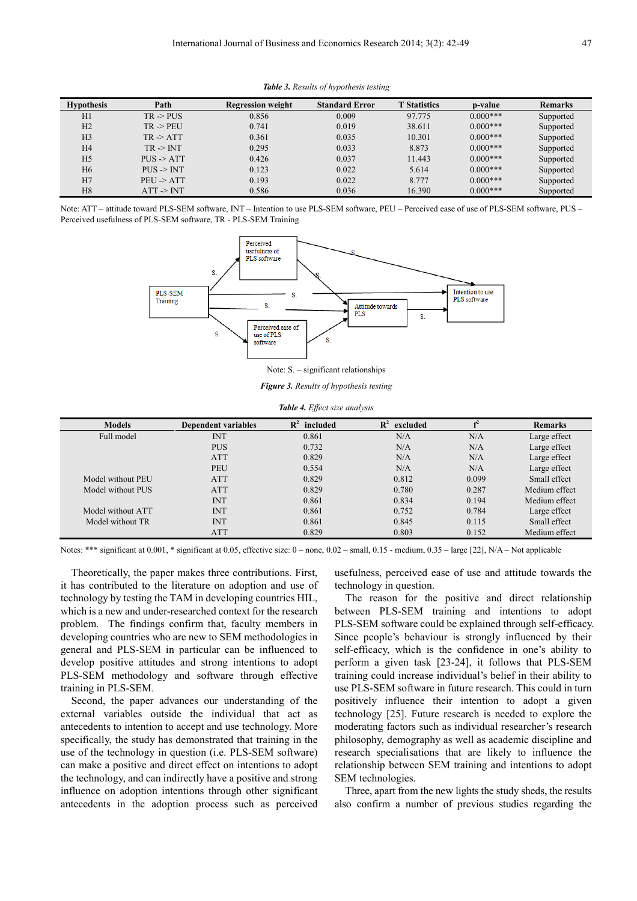| <b>Hypothesis</b> | Path                  | <b>Regression weight</b> | <b>Standard Error</b> | <b>T</b> Statistics | p-value    | <b>Remarks</b> |
|-------------------|-----------------------|--------------------------|-----------------------|---------------------|------------|----------------|
| H1                | $TR \geq PUS$         | 0.856                    | 0.009                 | 97.775              | $0.000***$ | Supported      |
| H2                | $TR \rightarrow PFIJ$ | 0.741                    | 0.019                 | 38.611              | $0.000***$ | Supported      |
| H <sub>3</sub>    | $TR \geq ATT$         | 0.361                    | 0.035                 | 10.301              | $0.000***$ | Supported      |
| H <sub>4</sub>    | $TR \geq INT$         | 0.295                    | 0.033                 | 8.873               | $0.000***$ | Supported      |
| H <sub>5</sub>    | $PUS \geq ATT$        | 0.426                    | 0.037                 | 11.443              | $0.000***$ | Supported      |
| H <sub>6</sub>    | $PIIS \geq INT$       | 0.123                    | 0.022                 | 5.614               | $0.000***$ | Supported      |
| H7                | PEU > ATT             | 0.193                    | 0.022                 | 8.777               | $0.000***$ | Supported      |
| H <sub>8</sub>    | $ATT \geq INT$        | 0.586                    | 0.036                 | 16.390              | $0.000***$ | Supported      |

*Table 3. Results of hypothesis testing* 

Note: ATT – attitude toward PLS-SEM software, INT – Intention to use PLS-SEM software, PEU – Perceived ease of use of PLS-SEM software, PUS – Perceived usefulness of PLS-SEM software, TR - PLS-SEM Training



Note: S. – significant relationships

*Figure 3. Results of hypothesis testing* 

| <b>Models</b>     | <b>Dependent variables</b> | $\mathbf{R}^2$<br>included | $\mathbf{R}^2$<br>excluded | $\mathbf{f}^2$ | <b>Remarks</b> |
|-------------------|----------------------------|----------------------------|----------------------------|----------------|----------------|
| Full model        | <b>INT</b>                 | 0.861                      | N/A                        | N/A            | Large effect   |
|                   | <b>PUS</b>                 | 0.732                      | N/A                        | N/A            | Large effect   |
|                   | <b>ATT</b>                 | 0.829                      | N/A                        | N/A            | Large effect   |
|                   | PEU                        | 0.554                      | N/A                        | N/A            | Large effect   |
| Model without PEU | <b>ATT</b>                 | 0.829                      | 0.812                      | 0.099          | Small effect   |
| Model without PUS | <b>ATT</b>                 | 0.829                      | 0.780                      | 0.287          | Medium effect  |
|                   | <b>INT</b>                 | 0.861                      | 0.834                      | 0.194          | Medium effect  |
| Model without ATT | <b>INT</b>                 | 0.861                      | 0.752                      | 0.784          | Large effect   |
| Model without TR  | <b>INT</b>                 | 0.861                      | 0.845                      | 0.115          | Small effect   |
|                   | <b>ATT</b>                 | 0.829                      | 0.803                      | 0.152          | Medium effect  |

*Table 4. Effect size analysis* 

Notes: \*\*\* significant at 0.001, \* significant at 0.05, effective size: 0 – none, 0.02 – small, 0.15 - medium, 0.35 – large [22], N/A – Not applicable

Theoretically, the paper makes three contributions. First, it has contributed to the literature on adoption and use of technology by testing the TAM in developing countries HIL, which is a new and under-researched context for the research problem. The findings confirm that, faculty members in developing countries who are new to SEM methodologies in general and PLS-SEM in particular can be influenced to develop positive attitudes and strong intentions to adopt PLS-SEM methodology and software through effective training in PLS-SEM.

Second, the paper advances our understanding of the external variables outside the individual that act as antecedents to intention to accept and use technology. More specifically, the study has demonstrated that training in the use of the technology in question (i.e. PLS-SEM software) can make a positive and direct effect on intentions to adopt the technology, and can indirectly have a positive and strong influence on adoption intentions through other significant antecedents in the adoption process such as perceived usefulness, perceived ease of use and attitude towards the technology in question.

The reason for the positive and direct relationship between PLS-SEM training and intentions to adopt PLS-SEM software could be explained through self-efficacy. Since people's behaviour is strongly influenced by their self-efficacy, which is the confidence in one's ability to perform a given task [23-24], it follows that PLS-SEM training could increase individual's belief in their ability to use PLS-SEM software in future research. This could in turn positively influence their intention to adopt a given technology [25]. Future research is needed to explore the moderating factors such as individual researcher's research philosophy, demography as well as academic discipline and research specialisations that are likely to influence the relationship between SEM training and intentions to adopt SEM technologies.

Three, apart from the new lights the study sheds, the results also confirm a number of previous studies regarding the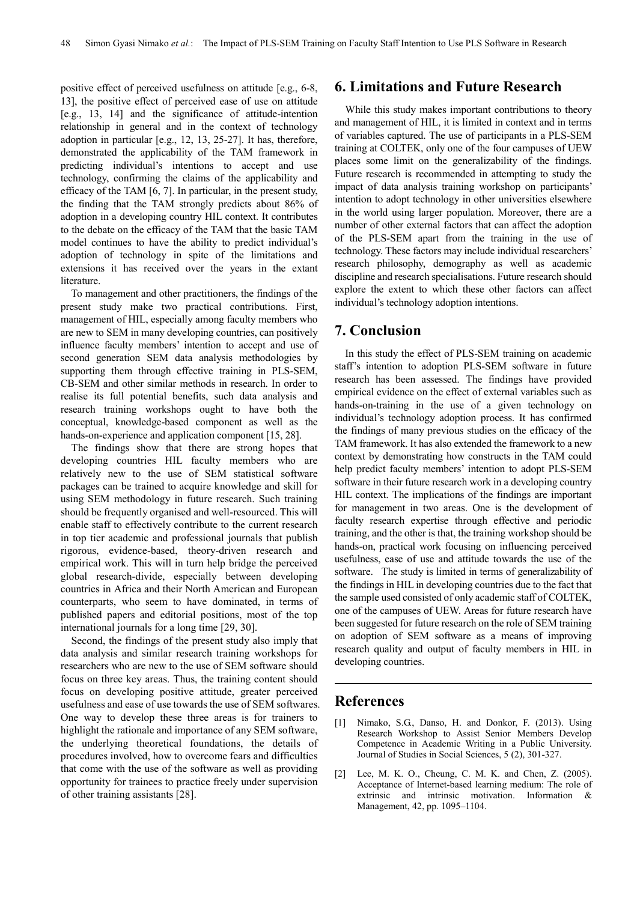positive effect of perceived usefulness on attitude [e.g., 6-8, 13], the positive effect of perceived ease of use on attitude [e.g., 13, 14] and the significance of attitude-intention relationship in general and in the context of technology adoption in particular [e.g., 12, 13, 25-27]. It has, therefore, demonstrated the applicability of the TAM framework in predicting individual's intentions to accept and use technology, confirming the claims of the applicability and efficacy of the TAM [6, 7]. In particular, in the present study, the finding that the TAM strongly predicts about 86% of adoption in a developing country HIL context. It contributes to the debate on the efficacy of the TAM that the basic TAM model continues to have the ability to predict individual's adoption of technology in spite of the limitations and extensions it has received over the years in the extant literature.

To management and other practitioners, the findings of the present study make two practical contributions. First, management of HIL, especially among faculty members who are new to SEM in many developing countries, can positively influence faculty members' intention to accept and use of second generation SEM data analysis methodologies by supporting them through effective training in PLS-SEM, CB-SEM and other similar methods in research. In order to realise its full potential benefits, such data analysis and research training workshops ought to have both the conceptual, knowledge-based component as well as the hands-on-experience and application component [15, 28].

The findings show that there are strong hopes that developing countries HIL faculty members who are relatively new to the use of SEM statistical software packages can be trained to acquire knowledge and skill for using SEM methodology in future research. Such training should be frequently organised and well-resourced. This will enable staff to effectively contribute to the current research in top tier academic and professional journals that publish rigorous, evidence-based, theory-driven research and empirical work. This will in turn help bridge the perceived global research-divide, especially between developing countries in Africa and their North American and European counterparts, who seem to have dominated, in terms of published papers and editorial positions, most of the top international journals for a long time [29, 30].

Second, the findings of the present study also imply that data analysis and similar research training workshops for researchers who are new to the use of SEM software should focus on three key areas. Thus, the training content should focus on developing positive attitude, greater perceived usefulness and ease of use towards the use of SEM softwares. One way to develop these three areas is for trainers to highlight the rationale and importance of any SEM software, the underlying theoretical foundations, the details of procedures involved, how to overcome fears and difficulties that come with the use of the software as well as providing opportunity for trainees to practice freely under supervision of other training assistants [28].

## **6. Limitations and Future Research**

While this study makes important contributions to theory and management of HIL, it is limited in context and in terms of variables captured. The use of participants in a PLS-SEM training at COLTEK, only one of the four campuses of UEW places some limit on the generalizability of the findings. Future research is recommended in attempting to study the impact of data analysis training workshop on participants' intention to adopt technology in other universities elsewhere in the world using larger population. Moreover, there are a number of other external factors that can affect the adoption of the PLS-SEM apart from the training in the use of technology. These factors may include individual researchers' research philosophy, demography as well as academic discipline and research specialisations. Future research should explore the extent to which these other factors can affect individual's technology adoption intentions.

## **7. Conclusion**

In this study the effect of PLS-SEM training on academic staff's intention to adoption PLS-SEM software in future research has been assessed. The findings have provided empirical evidence on the effect of external variables such as hands-on-training in the use of a given technology on individual's technology adoption process. It has confirmed the findings of many previous studies on the efficacy of the TAM framework. It has also extended the framework to a new context by demonstrating how constructs in the TAM could help predict faculty members' intention to adopt PLS-SEM software in their future research work in a developing country HIL context. The implications of the findings are important for management in two areas. One is the development of faculty research expertise through effective and periodic training, and the other is that, the training workshop should be hands-on, practical work focusing on influencing perceived usefulness, ease of use and attitude towards the use of the software. The study is limited in terms of generalizability of the findings in HIL in developing countries due to the fact that the sample used consisted of only academic staff of COLTEK, one of the campuses of UEW. Areas for future research have been suggested for future research on the role of SEM training on adoption of SEM software as a means of improving research quality and output of faculty members in HIL in developing countries.

## **References**

- [1] Nimako, S.G., Danso, H. and Donkor, F. (2013). Using Research Workshop to Assist Senior Members Develop Competence in Academic Writing in a Public University. Journal of Studies in Social Sciences, 5 (2), 301-327.
- [2] Lee, M. K. O., Cheung, C. M. K. and Chen, Z. (2005). Acceptance of Internet-based learning medium: The role of extrinsic and intrinsic motivation. Information & Management, 42, pp. 1095–1104.